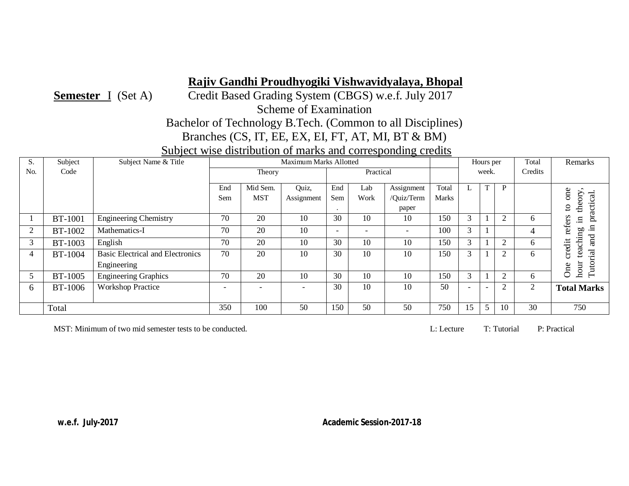**Semester** I (Set A) Credit Based Grading System (CBGS) w.e.f. July 2017

Scheme of Examination

# Bachelor of Technology B.Tech. (Common to all Disciplines)

Branches (CS, IT, EE, EX, EI, FT, AT, MI, BT & BM)

# Subject wise distribution of marks and corresponding credits

| C.             | Subject        | Subject Name & Title                    |                          |                          | Maximum Marks Allotted |                          |           |            |       |                          | Hours per                |                | Total        | Remarks                        |
|----------------|----------------|-----------------------------------------|--------------------------|--------------------------|------------------------|--------------------------|-----------|------------|-------|--------------------------|--------------------------|----------------|--------------|--------------------------------|
| No.            | Code           |                                         |                          | Theory                   |                        |                          | Practical |            |       | week.                    |                          |                | Credits      |                                |
|                |                |                                         | End                      | Mid Sem.                 | Quiz,                  | End                      | Lab       | Assignment | Total |                          | T                        | P              |              |                                |
|                |                |                                         | Sem                      | <b>MST</b>               |                        | Sem                      | Work      | /Ouiz/Term | Marks | L.                       |                          |                |              | one                            |
|                |                |                                         |                          |                          | Assignment             |                          |           |            |       |                          |                          |                |              | theory.                        |
|                |                |                                         |                          |                          |                        |                          |           | paper      |       |                          |                          |                |              | C)                             |
|                | <b>BT-1001</b> | Engineering Chemistry                   | 70                       | 20                       | 10                     | 30                       | 10        | 10         | 150   |                          |                          | $\overline{c}$ | <sub>(</sub> | practical.<br>refers<br>$\Xi$  |
| 2              | BT-1002        | Mathematics-I                           | 70                       | 20                       | 10                     | $\overline{\phantom{a}}$ |           |            | 100   | $\sim$                   |                          |                |              | $\Xi$                          |
| 3              | <b>BT-1003</b> | English                                 | 70                       | 20                       | 10                     | 30                       | 10        | 10         | 150   |                          |                          | $\overline{2}$ | 6            | teaching<br>and<br>a<br>credit |
| $\overline{4}$ | <b>BT-1004</b> | <b>Basic Electrical and Electronics</b> | 70                       | 20                       | 10                     | 30                       | 10        | 10         | 150   | 3                        |                          | $\overline{2}$ | 6            |                                |
|                |                | Engineering                             |                          |                          |                        |                          |           |            |       |                          |                          |                |              | Tutorial<br>hour<br>One        |
| 5              | <b>BT-1005</b> | <b>Engineering Graphics</b>             | 70                       | 20                       | 10                     | 30                       | 10        | 10         | 150   | 3                        |                          | 2              | 6            |                                |
| 6              | <b>BT-1006</b> | <b>Workshop Practice</b>                | $\overline{\phantom{0}}$ | $\overline{\phantom{0}}$ |                        | 30                       | 10        | 10         | 50    | $\overline{\phantom{0}}$ | $\overline{\phantom{a}}$ | $\overline{c}$ | $\bigcap$    | <b>Total Marks</b>             |
|                |                |                                         |                          |                          |                        |                          |           |            |       |                          |                          |                |              |                                |
|                | Total          |                                         | 350                      | 100                      | 50                     | 150                      | 50        | 50         | 750   | 15                       | 5 <sup>5</sup>           | 10             | 30           | 750                            |

MST: Minimum of two mid semester tests to be conducted. 
L: Lecture T: Tutorial P: Practical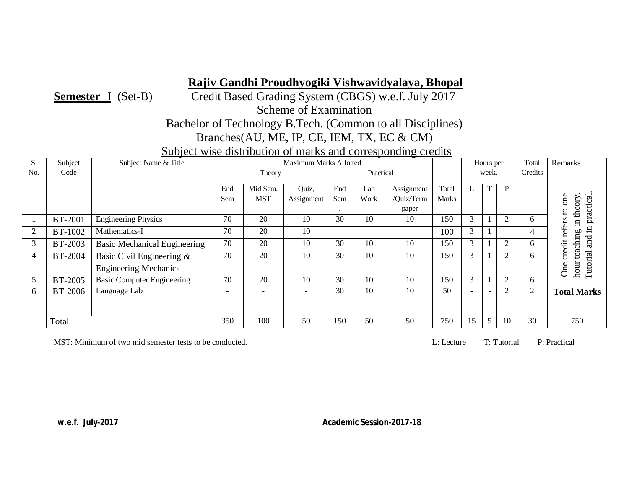**Semester** I (Set-B) Credit Based Grading System (CBGS) w.e.f. July 2017

Scheme of Examination

Bachelor of Technology B.Tech. (Common to all Disciplines)

Branches(AU, ME, IP, CE, IEM, TX, EC & CM)

Subject wise distribution of marks and corresponding credits

| S.             | Subject        | Subject Name & Title                |                          |            | Maximum Marks Allotted |     |           |            |              |                          | Hours per                |                | Total          | Remarks                                               |
|----------------|----------------|-------------------------------------|--------------------------|------------|------------------------|-----|-----------|------------|--------------|--------------------------|--------------------------|----------------|----------------|-------------------------------------------------------|
| N <sub>o</sub> | Code           |                                     |                          | Theory     |                        |     | Practical |            |              |                          | week.                    |                | Credits        |                                                       |
|                |                |                                     | End                      | Mid Sem.   | Quiz,                  | End | Lab       | Assignment | Total        |                          |                          | P              |                |                                                       |
|                |                |                                     | Sem                      | <b>MST</b> | Assignment             | Sem | Work      | /Quiz/Term | <b>Marks</b> | L.                       |                          |                |                | c<br>y                                                |
|                |                |                                     |                          |            |                        |     |           | paper      |              |                          |                          |                |                | ractical<br>$\overline{5}$<br>theor<br>$\overline{a}$ |
|                | <b>BT-2001</b> | <b>Engineering Physics</b>          | 70                       | 20         | 10                     | 30  | 10        | 10         | 150          | 3                        |                          | ◠              | h.             | - 드                                                   |
| 2              | BT-1002        | Mathematics-I                       | 70                       | 20         | 10                     |     |           |            | 100          | 3                        |                          |                | 4              | refer;<br>.日<br>ρO                                    |
| 3              | BT-2003        | <b>Basic Mechanical Engineering</b> | 70                       | 20         | 10                     | 30  | 10        | 10         | 150          | 3                        |                          | $\overline{2}$ | 6.             | and<br>$\ddot{\mathrm{d}}$<br>ach                     |
| 4              | <b>BT-2004</b> | Basic Civil Engineering &           | 70                       | 20         | 10                     | 30  | 10        | 10         | 150          | 3                        |                          | ◠              | h.             |                                                       |
|                |                | <b>Engineering Mechanics</b>        |                          |            |                        |     |           |            |              |                          |                          |                |                | Tutorial<br>One<br>hou                                |
| 5              | BT-2005        | <b>Basic Computer Engineering</b>   | 70                       | 20         | 10                     | 30  | 10        | 10         | 150          | 3                        |                          | $\mathfrak{D}$ | 6.             |                                                       |
| 6              | <b>BT-2006</b> | Language Lab                        | $\overline{\phantom{0}}$ |            |                        | 30  | 10        | 10         | 50           | $\overline{\phantom{0}}$ | $\overline{\phantom{0}}$ | $\overline{2}$ | $\overline{c}$ | <b>Total Marks</b>                                    |
|                |                |                                     |                          |            |                        |     |           |            |              |                          |                          |                |                |                                                       |
|                | Total          |                                     | 350                      | 100        | 50                     | 150 | 50        | 50         | 750          | 15                       |                          | 10             | 30             | 750                                                   |

MST: Minimum of two mid semester tests to be conducted. L: Lecture T: Tutorial P: Practical P: Practical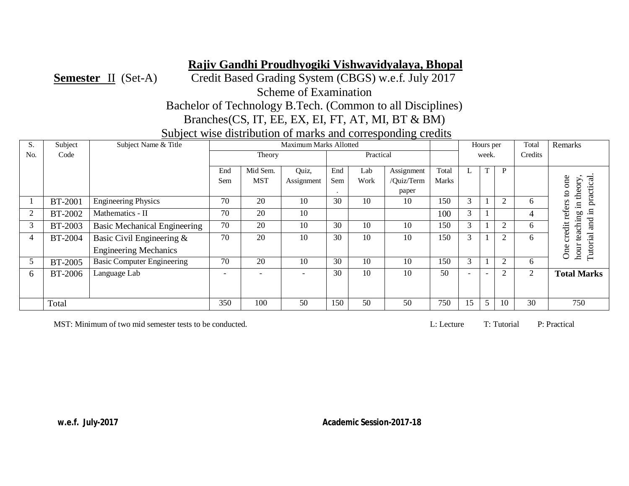**Semester** II (Set-A) Credit Based Grading System (CBGS) w.e.f. July 2017 Scheme of Examination

Bachelor of Technology B.Tech. (Common to all Disciplines)

Branches(CS, IT, EE, EX, EI, FT, AT, MI, BT & BM)

Subject wise distribution of marks and corresponding credits

| S.             | Subject        | Subject Name & Title                |                          |                          | <b>Maximum Marks Allotted</b> |         |           |            |       |    | Hours per                |                | Total          | Remarks                                |
|----------------|----------------|-------------------------------------|--------------------------|--------------------------|-------------------------------|---------|-----------|------------|-------|----|--------------------------|----------------|----------------|----------------------------------------|
| No.            | Code           |                                     |                          | Theory                   |                               |         | Practical |            |       |    | week.                    |                | Credits        |                                        |
|                |                |                                     | End                      | Mid Sem.                 | Quiz,                         | End     | Lab       | Assignment | Total |    | T                        | P              |                |                                        |
|                |                |                                     | Sem                      | <b>MST</b>               | Assignment                    | Sem     | Work      | /Quiz/Term | Marks |    |                          |                |                | one                                    |
|                |                |                                     |                          |                          |                               | $\cdot$ |           | paper      |       |    |                          |                |                | practical.<br>theory<br>$\overline{a}$ |
|                | <b>BT-2001</b> | <b>Engineering Physics</b>          | 70                       | 20                       | 10                            | 30      | 10        | 10         | 150   | 3  |                          | 2              | 6              | $\Xi$                                  |
| $\overline{2}$ | <b>BT-2002</b> | Mathematics - II                    | 70                       | 20                       | 10                            |         |           |            | 100   | 3  |                          |                |                | refers<br>$\Xi$<br>60                  |
| 3              | BT-2003        | <b>Basic Mechanical Engineering</b> | 70                       | 20                       | 10                            | 30      | 10        | 10         | 150   | 3  |                          | $\overline{2}$ | 6              | aching<br>and<br>credit                |
| 4              | BT-2004        | Basic Civil Engineering &           | 70                       | 20                       | 10                            | 30      | 10        | 10         | 150   | 3  |                          | 2              | h              | قع                                     |
|                |                | <b>Engineering Mechanics</b>        |                          |                          |                               |         |           |            |       |    |                          |                |                | Tutorial<br>hour<br><b>One</b>         |
| 5              | BT-2005        | <b>Basic Computer Engineering</b>   | 70                       | 20                       | 10                            | 30      | 10        | 10         | 150   | 3  |                          | $\overline{2}$ | 6              |                                        |
| $\sigma$       | BT-2006        | Language Lab                        | $\overline{\phantom{0}}$ | $\overline{\phantom{a}}$ | ۰                             | 30      | 10        | 10         | 50    |    | $\overline{\phantom{0}}$ | $\overline{2}$ | $\overline{2}$ | <b>Total Marks</b>                     |
|                |                |                                     |                          |                          |                               |         |           |            |       |    |                          |                |                |                                        |
|                | Total          |                                     | 350                      | 100                      | 50                            | 150     | 50        | 50         | 750   | 15 | 5                        | 10             | 30             | 750                                    |

MST: Minimum of two mid semester tests to be conducted. 
L: Lecture T: Tutorial P: Practical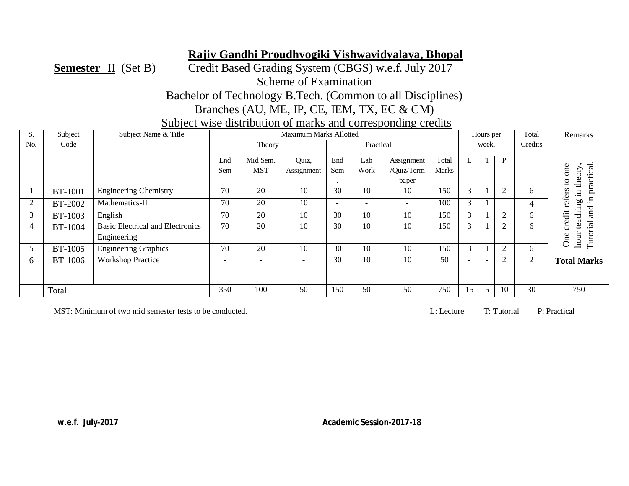**Semester** II (Set B) Credit Based Grading System (CBGS) w.e.f. July 2017 Scheme of Examination Bachelor of Technology B.Tech. (Common to all Disciplines)

Branches (AU, ME, IP, CE, IEM, TX, EC & CM)

Subject wise distribution of marks and corresponding credits

| S.             | Subject        | Subject Name & Title                    |     |                          | Maximum Marks Allotted |                          |                          |                          |       |    | Hours per |                | Total   | Remarks                     |
|----------------|----------------|-----------------------------------------|-----|--------------------------|------------------------|--------------------------|--------------------------|--------------------------|-------|----|-----------|----------------|---------|-----------------------------|
| N <sub>o</sub> | Code           |                                         |     | Theory                   |                        |                          | Practical                |                          |       |    | week.     |                | Credits |                             |
|                |                |                                         | End | Mid Sem.                 | Quiz,                  | End                      | Lab                      | Assignment               | Total |    |           | P              |         |                             |
|                |                |                                         | Sem | <b>MST</b>               | Assignment             | Sem                      | Work                     | /Ouiz/Term               | Marks |    |           |                |         | one                         |
|                |                |                                         |     |                          |                        | $\cdot$                  |                          | paper                    |       |    |           |                |         | practical.<br>theory<br>5   |
|                | <b>BT-1001</b> | <b>Engineering Chemistry</b>            | 70  | 20                       | 10                     | 30                       | 10                       | 10                       | 150   | 3  |           | $\overline{c}$ | 6       | refers<br>$\Xi$             |
| 2              | BT-2002        | Mathematics-II                          | 70  | 20                       | 10                     | $\overline{\phantom{a}}$ | $\overline{\phantom{0}}$ | $\overline{\phantom{a}}$ | 100   | 3  |           |                | 4       | $\Xi$<br>p0<br>$\mathbf{a}$ |
| 3              | <b>BT-1003</b> | English                                 | 70  | 20                       | 10                     | 30                       | 10                       | 10                       | 150   | 3  |           | 2              | 6       | and<br>credit<br>di         |
| $\overline{4}$ | BT-1004        | <b>Basic Electrical and Electronics</b> | 70  | 20                       | 10                     | 30                       | 10                       | 10                       | 150   | 3  |           | $\overline{2}$ | 6       | $\mathbf{e}$                |
|                |                | Engineering                             |     |                          |                        |                          |                          |                          |       |    |           |                |         | Tutorial<br>hour<br>One     |
| 5              | <b>BT-1005</b> | <b>Engineering Graphics</b>             | 70  | 20                       | 10                     | 30                       | 10                       | 10                       | 150   | 3  |           | 2              | 6       |                             |
| 6              | <b>BT-1006</b> | <b>Workshop Practice</b>                |     | $\overline{\phantom{a}}$ |                        | 30                       | 10                       | 10                       | 50    |    |           | 2              | 2       | <b>Total Marks</b>          |
|                |                |                                         |     |                          |                        |                          |                          |                          |       |    |           |                |         |                             |
|                |                |                                         |     |                          |                        |                          |                          |                          |       |    |           |                |         |                             |
|                | Total          |                                         | 350 | 100                      | 50                     | 150                      | 50                       | 50                       | 750   | 15 | 5         | 10             | 30      | 750                         |

MST: Minimum of two mid semester tests to be conducted. 
L: Lecture T: Tutorial P: Practical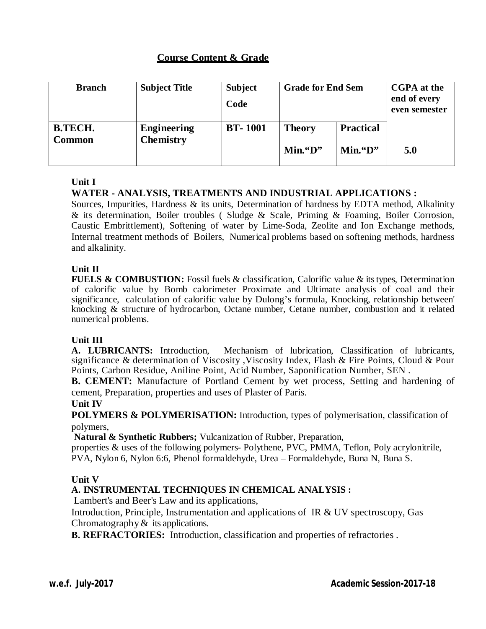| <b>Branch</b>            | <b>Subject Title</b>                   | <b>Subject</b><br>Code | <b>Grade for End Sem</b> |                  | CGPA at the<br>end of every<br>even semester |
|--------------------------|----------------------------------------|------------------------|--------------------------|------------------|----------------------------------------------|
| <b>B.TECH.</b><br>Common | <b>Engineering</b><br><b>Chemistry</b> | <b>BT-1001</b>         | <b>Theory</b>            | <b>Practical</b> |                                              |
|                          |                                        |                        | $Min.$ "D"<br>Min. 4D    |                  | 5.0                                          |

# **Unit I**

# **WATER - ANALYSIS, TREATMENTS AND INDUSTRIAL APPLICATIONS :**

Sources, Impurities, Hardness & its units, Determination of hardness by EDTA method, Alkalinity & its determination, Boiler troubles ( Sludge & Scale, Priming & Foaming, Boiler Corrosion, Caustic Embrittlement), Softening of water by Lime-Soda, Zeolite and Ion Exchange methods, Internal treatment methods of Boilers, Numerical problems based on softening methods, hardness and alkalinity.

## **Unit II**

**FUELS & COMBUSTION:** Fossil fuels & classification, Calorific value & its types, Determination of calorific value by Bomb calorimeter Proximate and Ultimate analysis of coal and their significance, calculation of calorific value by Dulong's formula, Knocking, relationship between' knocking & structure of hydrocarbon, Octane number, Cetane number, combustion and it related numerical problems.

## **Unit III**

**A. LUBRICANTS:** Introduction, Mechanism of lubrication, Classification of lubricants, significance & determination of Viscosity ,Viscosity Index, Flash & Fire Points, Cloud & Pour Points, Carbon Residue, Aniline Point, Acid Number, Saponification Number, SEN .

**B. CEMENT:** Manufacture of Portland Cement by wet process, Setting and hardening of cement, Preparation, properties and uses of Plaster of Paris.

## **Unit IV**

**POLYMERS & POLYMERISATION:** Introduction, types of polymerisation, classification of polymers,

**Natural & Synthetic Rubbers;** Vulcanization of Rubber, Preparation,

properties & uses of the following polymers- Polythene, PVC, PMMA, Teflon, Poly acrylonitrile, PVA, Nylon 6, Nylon 6:6, Phenol formaldehyde, Urea – Formaldehyde, Buna N, Buna S.

## **Unit V**

# **A. INSTRUMENTAL TECHNIQUES IN CHEMICAL ANALYSIS :**

Lambert's and Beer's Law and its applications,

Introduction, Principle, Instrumentation and applications of IR & UV spectroscopy, Gas Chromatography  $\&$  its applications.

**B. REFRACTORIES:** Introduction, classification and properties of refractories .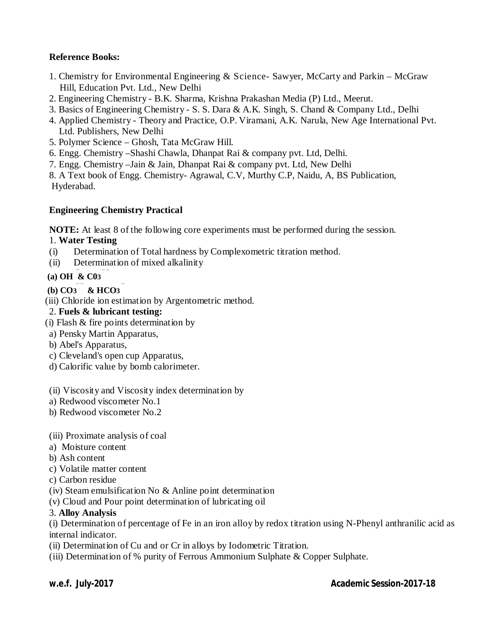# **Reference Books:**

- 1. Chemistry for Environmental Engineering & Science- Sawyer, McCarty and Parkin McGraw Hill, Education Pvt. Ltd., New Delhi
- 2. Engineering Chemistry B.K. Sharma, Krishna Prakashan Media (P) Ltd., Meerut.
- 3. Basics of Engineering Chemistry S. S. Dara & A.K. Singh, S. Chand & Company Ltd., Delhi
- 4. Applied Chemistry Theory and Practice, O.P. Viramani, A.K. Narula, New Age International Pvt. Ltd. Publishers, New Delhi
- 5. Polymer Science Ghosh, Tata McGraw Hill.
- 6. Engg. Chemistry –Shashi Chawla, Dhanpat Rai & company pvt. Ltd, Delhi.
- 7. Engg. Chemistry –Jain & Jain, Dhanpat Rai & company pvt. Ltd, New Delhi

8. A Text book of Engg. Chemistry- Agrawal, C.V, Murthy C.P, Naidu, A, BS Publication, Hyderabad.

#### **Engineering Chemistry Practical**

**NOTE:** At least 8 of the following core experiments must be performed during the session.

#### 1. **Water Testing**

- (i) Determination of Total hardness by Complexometric titration method.
- (ii) Determination of mixed alkalinity

# **--- --- --- (a) OH & C03**

- **--- --- --- (b) CO3 & HCO3**
- (iii) Chloride ion estimation by Argentometric method.

#### 2. **Fuels & lubricant testing:**

- (i) Flash & fire points determination by
- a) Pensky Martin Apparatus,
- b) Abel's Apparatus,
- c) Cleveland's open cup Apparatus,
- d) Calorific value by bomb calorimeter.

#### (ii) Viscosity and Viscosity index determination by

- a) Redwood viscometer No.1
- b) Redwood viscometer No.2

#### (iii) Proximate analysis of coal

- a) Moisture content
- b) Ash content
- c) Volatile matter content
- c) Carbon residue
- (iv) Steam emulsification No & Anline point determination
- (v) Cloud and Pour point determination of lubricating oil

#### 3. **Alloy Analysis**

(i) Determination of percentage of Fe in an iron alloy by redox titration using N-Phenyl anthranilic acid as internal indicator.

- (ii) Determination of Cu and or Cr in alloys by Iodometric Titration.
- (iii) Determination of % purity of Ferrous Ammonium Sulphate & Copper Sulphate.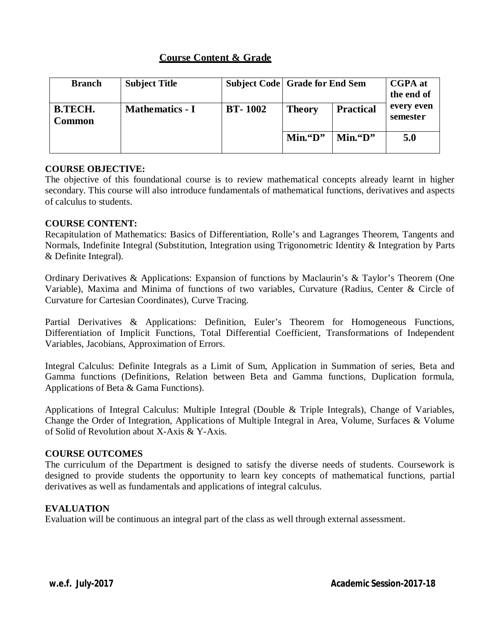| <b>Branch</b>            | <b>Subject Title</b>   | <b>Subject Code Grade for End Sem</b> |                          | <b>CGPA</b> at<br>the end of |                        |
|--------------------------|------------------------|---------------------------------------|--------------------------|------------------------------|------------------------|
| <b>B.TECH.</b><br>Common | <b>Mathematics - I</b> | <b>BT-1002</b>                        | <b>Theory</b>            | <b>Practical</b>             | every even<br>semester |
|                          |                        |                                       | $Min.$ "D"<br>$Min.$ "D" |                              | 5.0                    |

#### **COURSE OBJECTIVE:**

The objective of this foundational course is to review mathematical concepts already learnt in higher secondary. This course will also introduce fundamentals of mathematical functions, derivatives and aspects of calculus to students.

#### **COURSE CONTENT:**

Recapitulation of Mathematics: Basics of Differentiation, Rolle's and Lagranges Theorem, Tangents and Normals, Indefinite Integral (Substitution, Integration using Trigonometric Identity & Integration by Parts & Definite Integral).

Ordinary Derivatives & Applications: Expansion of functions by Maclaurin's & Taylor's Theorem (One Variable), Maxima and Minima of functions of two variables, Curvature (Radius, Center & Circle of Curvature for Cartesian Coordinates), Curve Tracing.

Partial Derivatives & Applications: Definition, Euler's Theorem for Homogeneous Functions, Differentiation of Implicit Functions, Total Differential Coefficient, Transformations of Independent Variables, Jacobians, Approximation of Errors.

Integral Calculus: Definite Integrals as a Limit of Sum, Application in Summation of series, Beta and Gamma functions (Definitions, Relation between Beta and Gamma functions, Duplication formula, Applications of Beta & Gama Functions).

Applications of Integral Calculus: Multiple Integral (Double & Triple Integrals), Change of Variables, Change the Order of Integration, Applications of Multiple Integral in Area, Volume, Surfaces & Volume of Solid of Revolution about X-Axis & Y-Axis.

#### **COURSE OUTCOMES**

The curriculum of the Department is designed to satisfy the diverse needs of students. Coursework is designed to provide students the opportunity to learn key concepts of mathematical functions, partial derivatives as well as fundamentals and applications of integral calculus.

#### **EVALUATION**

Evaluation will be continuous an integral part of the class as well through external assessment.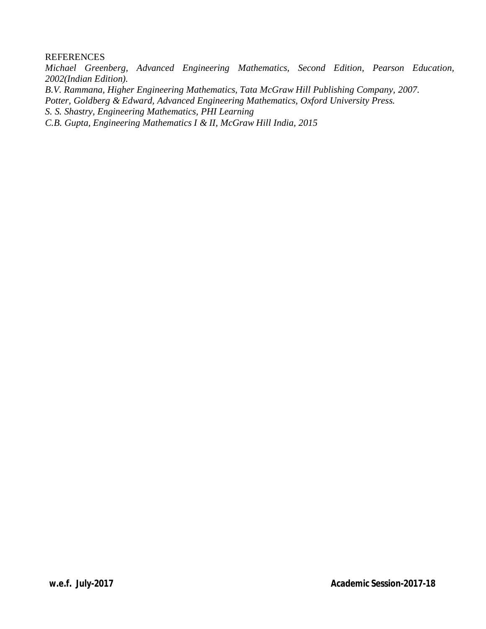#### **REFERENCES**

*Michael Greenberg, Advanced Engineering Mathematics, Second Edition, Pearson Education, 2002(Indian Edition).*

*B.V. Rammana, Higher Engineering Mathematics, Tata McGraw Hill Publishing Company, 2007.*

*Potter, Goldberg & Edward, Advanced Engineering Mathematics, Oxford University Press.*

*S. S. Shastry, Engineering Mathematics, PHI Learning*

*C.B. Gupta, Engineering Mathematics I & II, McGraw Hill India, 2015*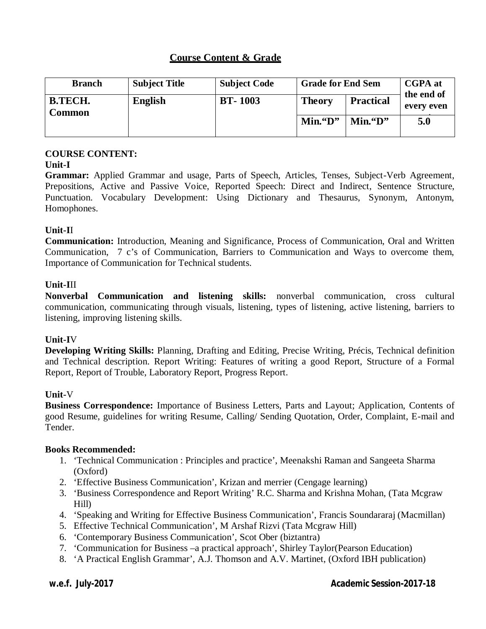| <b>Branch</b>            | <b>Subject Title</b> | <b>Subject Code</b> | <b>Grade for End Sem</b> |                  | <b>CGPA</b> at<br>the end of |  |
|--------------------------|----------------------|---------------------|--------------------------|------------------|------------------------------|--|
| <b>B.TECH.</b><br>Common | <b>English</b>       | <b>BT-1003</b>      | <b>Theory</b>            | <b>Practical</b> | every even                   |  |
|                          |                      |                     | $Min.$ "D"               | $Min.$ "D"       | 5.0                          |  |

# **COURSE CONTENT:**

## **Unit-I**

**Grammar:** Applied Grammar and usage, Parts of Speech, Articles, Tenses, Subject-Verb Agreement, Prepositions, Active and Passive Voice, Reported Speech: Direct and Indirect, Sentence Structure, Punctuation. Vocabulary Development: Using Dictionary and Thesaurus, Synonym, Antonym, Homophones.

## **Unit-I**I

**Communication:** Introduction, Meaning and Significance, Process of Communication, Oral and Written Communication, 7 c's of Communication, Barriers to Communication and Ways to overcome them, Importance of Communication for Technical students.

## **Unit-I**II

**Nonverbal Communication and listening skills:** nonverbal communication, cross cultural communication, communicating through visuals, listening, types of listening, active listening, barriers to listening, improving listening skills.

## **Unit-I**V

**Developing Writing Skills:** Planning, Drafting and Editing, Precise Writing, Précis, Technical definition and Technical description. Report Writing: Features of writing a good Report, Structure of a Formal Report, Report of Trouble, Laboratory Report, Progress Report.

## **Unit-**V

**Business Correspondence:** Importance of Business Letters, Parts and Layout; Application, Contents of good Resume, guidelines for writing Resume, Calling/ Sending Quotation, Order, Complaint, E-mail and Tender.

## **Books Recommended:**

- 1. 'Technical Communication : Principles and practice', Meenakshi Raman and Sangeeta Sharma (Oxford)
- 2. 'Effective Business Communication', Krizan and merrier (Cengage learning)
- 3. 'Business Correspondence and Report Writing' R.C. Sharma and Krishna Mohan, (Tata Mcgraw Hill)
- 4. 'Speaking and Writing for Effective Business Communication', Francis Soundararaj (Macmillan)
- 5. Effective Technical Communication', M Arshaf Rizvi (Tata Mcgraw Hill)
- 6. 'Contemporary Business Communication', Scot Ober (biztantra)
- 7. 'Communication for Business –a practical approach', Shirley Taylor(Pearson Education)
- 8. 'A Practical English Grammar', A.J. Thomson and A.V. Martinet, (Oxford IBH publication)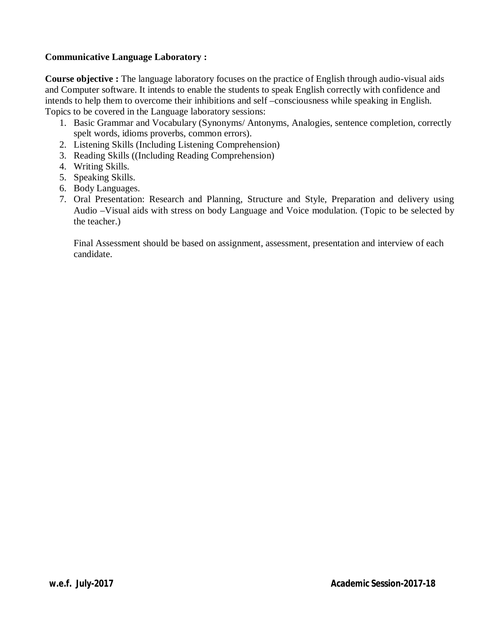## **Communicative Language Laboratory :**

**Course objective :** The language laboratory focuses on the practice of English through audio-visual aids and Computer software. It intends to enable the students to speak English correctly with confidence and intends to help them to overcome their inhibitions and self –consciousness while speaking in English. Topics to be covered in the Language laboratory sessions:

- 1. Basic Grammar and Vocabulary (Synonyms/ Antonyms, Analogies, sentence completion, correctly spelt words, idioms proverbs, common errors).
- 2. Listening Skills (Including Listening Comprehension)
- 3. Reading Skills ((Including Reading Comprehension)
- 4. Writing Skills.
- 5. Speaking Skills.
- 6. Body Languages.
- 7. Oral Presentation: Research and Planning, Structure and Style, Preparation and delivery using Audio –Visual aids with stress on body Language and Voice modulation. (Topic to be selected by the teacher.)

Final Assessment should be based on assignment, assessment, presentation and interview of each candidate.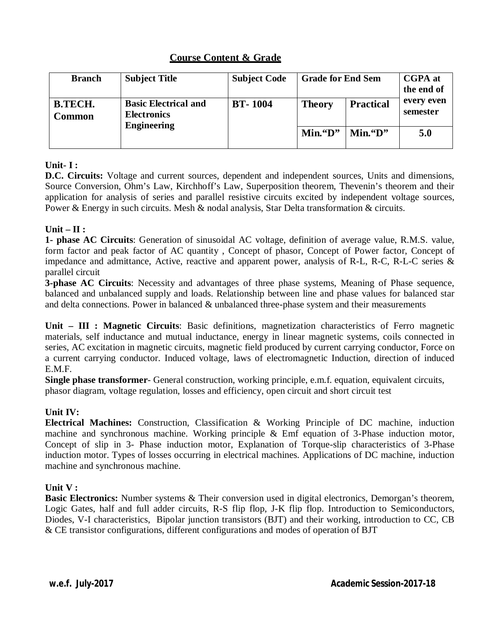| <b>Branch</b>                   | <b>Subject Title</b>                                                    | <b>Subject Code</b> | <b>Grade for End Sem</b> | <b>CGPA</b> at<br>the end of |                        |  |
|---------------------------------|-------------------------------------------------------------------------|---------------------|--------------------------|------------------------------|------------------------|--|
| <b>B.TECH.</b><br><b>Common</b> | <b>Basic Electrical and</b><br><b>Electronics</b><br><b>Engineering</b> | <b>BT-1004</b>      | <b>Theory</b>            | <b>Practical</b>             | every even<br>semester |  |
|                                 |                                                                         |                     | $Min.$ "D"               | $Min.$ "D"                   | 5.0                    |  |

# **Unit- I :**

**D.C. Circuits:** Voltage and current sources, dependent and independent sources, Units and dimensions, Source Conversion, Ohm's Law, Kirchhoff's Law, Superposition theorem, Thevenin's theorem and their application for analysis of series and parallel resistive circuits excited by independent voltage sources, Power & Energy in such circuits. Mesh & nodal analysis, Star Delta transformation & circuits.

# **Unit – II :**

**1- phase AC Circuits**: Generation of sinusoidal AC voltage, definition of average value, R.M.S. value, form factor and peak factor of AC quantity , Concept of phasor, Concept of Power factor, Concept of impedance and admittance, Active, reactive and apparent power, analysis of R-L, R-C, R-L-C series & parallel circuit

**3-phase AC Circuits**: Necessity and advantages of three phase systems, Meaning of Phase sequence, balanced and unbalanced supply and loads. Relationship between line and phase values for balanced star and delta connections. Power in balanced & unbalanced three-phase system and their measurements

**Unit – III : Magnetic Circuits**: Basic definitions, magnetization characteristics of Ferro magnetic materials, self inductance and mutual inductance, energy in linear magnetic systems, coils connected in series, AC excitation in magnetic circuits, magnetic field produced by current carrying conductor, Force on a current carrying conductor. Induced voltage, laws of electromagnetic Induction, direction of induced E.M.F.

**Single phase transformer**- General construction, working principle, e.m.f. equation, equivalent circuits, phasor diagram, voltage regulation, losses and efficiency, open circuit and short circuit test

# **Unit IV:**

**Electrical Machines:** Construction, Classification & Working Principle of DC machine, induction machine and synchronous machine. Working principle  $\&$  Emf equation of 3-Phase induction motor, Concept of slip in 3- Phase induction motor, Explanation of Torque-slip characteristics of 3-Phase induction motor. Types of losses occurring in electrical machines. Applications of DC machine, induction machine and synchronous machine.

## **Unit V :**

**Basic Electronics:** Number systems & Their conversion used in digital electronics, Demorgan's theorem, Logic Gates, half and full adder circuits, R-S flip flop, J-K flip flop. Introduction to Semiconductors, Diodes, V-I characteristics, Bipolar junction transistors (BJT) and their working, introduction to CC, CB & CE transistor configurations, different configurations and modes of operation of BJT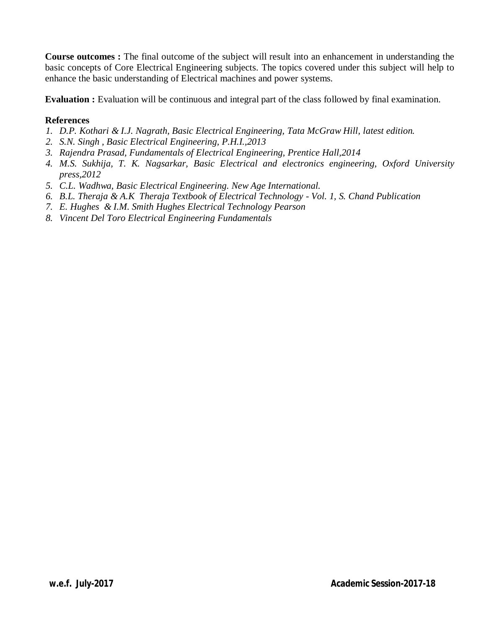**Course outcomes :** The final outcome of the subject will result into an enhancement in understanding the basic concepts of Core Electrical Engineering subjects. The topics covered under this subject will help to enhance the basic understanding of Electrical machines and power systems.

**Evaluation :** Evaluation will be continuous and integral part of the class followed by final examination.

#### **References**

- *1. D.P. Kothari & I.J. Nagrath, Basic Electrical Engineering, Tata McGraw Hill, latest edition.*
- *2. S.N. Singh , Basic Electrical Engineering, P.H.I.,2013*
- *3. Rajendra Prasad, Fundamentals of Electrical Engineering, Prentice Hall,2014*
- *4. M.S. Sukhija, T. K. Nagsarkar, Basic Electrical and electronics engineering, Oxford University press,2012*
- *5. C.L. Wadhwa, Basic Electrical Engineering. New Age International.*
- *6. B.L. Theraja & A.K Theraja Textbook of Electrical Technology - Vol. 1, S. Chand Publication*
- *7. E. Hughes & I.M. Smith Hughes Electrical Technology Pearson*
- *8. Vincent Del Toro Electrical Engineering Fundamentals*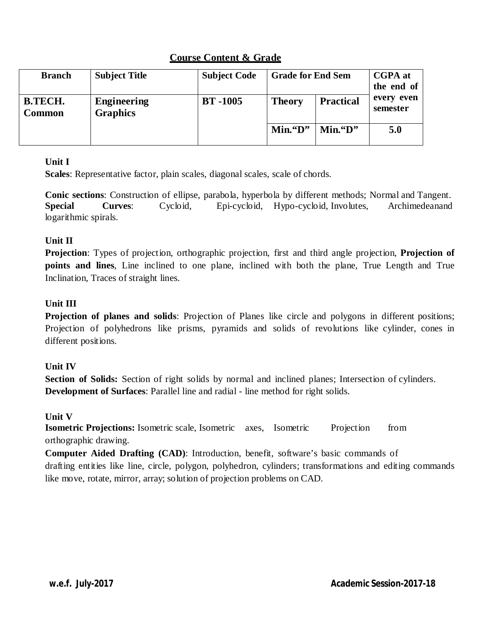| <b>Branch</b>                   | <b>Subject Title</b>                  | <b>Subject Code</b> | <b>Grade for End Sem</b> | <b>CGPA</b> at<br>the end of |                        |
|---------------------------------|---------------------------------------|---------------------|--------------------------|------------------------------|------------------------|
| <b>B.TECH.</b><br><b>Common</b> | <b>Engineering</b><br><b>Graphics</b> | <b>BT-1005</b>      | <b>Theory</b>            | <b>Practical</b>             | every even<br>semester |
|                                 |                                       |                     | $Min.$ "D"<br>$Min.$ "D" |                              | 5.0                    |

# **Unit I**

**Scales**: Representative factor, plain scales, diagonal scales, scale of chords.

**Conic sections**: Construction of ellipse, parabola, hyperbola by different methods; Normal and Tangent. **Special Curves**: Cycloid, Epi-cycloid, Hypo-cycloid, Involutes, Archimedeanand logarithmic spirals.

# **Unit II**

**Projection**: Types of projection, orthographic projection, first and third angle projection, **Projection of points and lines**, Line inclined to one plane, inclined with both the plane, True Length and True Inclination, Traces of straight lines.

# **Unit III**

**Projection of planes and solids**: Projection of Planes like circle and polygons in different positions; Projection of polyhedrons like prisms, pyramids and solids of revolutions like cylinder, cones in different positions.

# **Unit IV**

**Section of Solids:** Section of right solids by normal and inclined planes; Intersection of cylinders. **Development of Surfaces**: Parallel line and radial - line method for right solids.

# **Unit V**

**Isometric Projections:** Isometric scale, Isometric axes, Isometric Projection from orthographic drawing.

**Computer Aided Drafting (CAD)**: Introduction, benefit, software's basic commands of drafting entities like line, circle, polygon, polyhedron, cylinders; transformations and editing commands like move, rotate, mirror, array; solution of projection problems on CAD.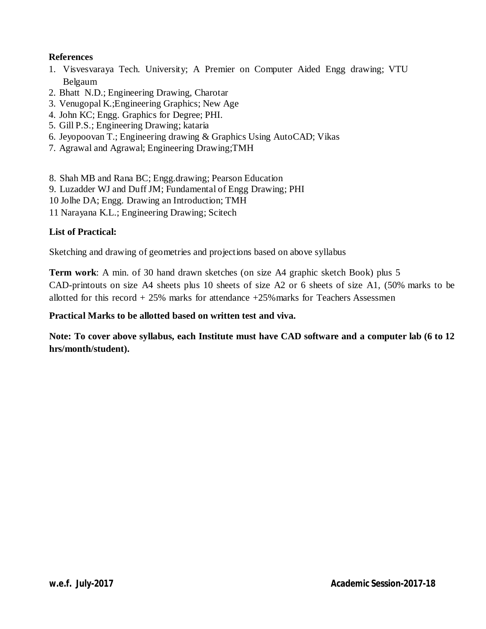## **References**

- 1. Visvesvaraya Tech. University; A Premier on Computer Aided Engg drawing; VTU Belgaum
- 2. Bhatt N.D.; Engineering Drawing, Charotar
- 3. Venugopal K.;Engineering Graphics; New Age
- 4. John KC; Engg. Graphics for Degree; PHI.
- 5. Gill P.S.; Engineering Drawing; kataria
- 6. Jeyopoovan T.; Engineering drawing & Graphics Using AutoCAD; Vikas
- 7. Agrawal and Agrawal; Engineering Drawing;TMH
- 8. Shah MB and Rana BC; Engg.drawing; Pearson Education
- 9. Luzadder WJ and Duff JM; Fundamental of Engg Drawing; PHI
- 10 Jolhe DA; Engg. Drawing an Introduction; TMH
- 11 Narayana K.L.; Engineering Drawing; Scitech

# **List of Practical:**

Sketching and drawing of geometries and projections based on above syllabus

**Term work**: A min. of 30 hand drawn sketches (on size A4 graphic sketch Book) plus 5 CAD-printouts on size A4 sheets plus 10 sheets of size A2 or 6 sheets of size A1, (50% marks to be allotted for this record  $+25\%$  marks for attendance  $+25\%$  marks for Teachers Assessmen

## **Practical Marks to be allotted based on written test and viva.**

**Note: To cover above syllabus, each Institute must have CAD software and a computer lab (6 to 12 hrs/month/student).**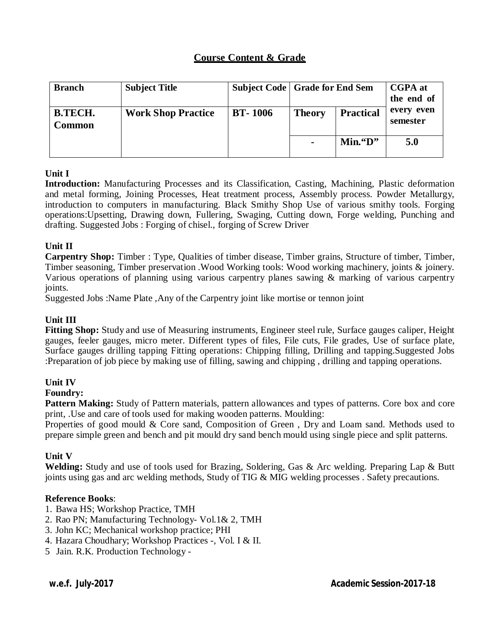| <b>Branch</b>            | <b>Subject Title</b>      | <b>Subject Code   Grade for End Sem</b> |               | <b>CGPA</b> at<br>the end of |                        |  |
|--------------------------|---------------------------|-----------------------------------------|---------------|------------------------------|------------------------|--|
| <b>B.TECH.</b><br>Common | <b>Work Shop Practice</b> | <b>BT-1006</b>                          | <b>Theory</b> | <b>Practical</b>             | every even<br>semester |  |
|                          |                           |                                         | $Min.$ "D"    |                              | 5.0                    |  |

#### **Unit I**

**Introduction:** Manufacturing Processes and its Classification, Casting, Machining, Plastic deformation and metal forming, Joining Processes, Heat treatment process, Assembly process. Powder Metallurgy, introduction to computers in manufacturing. Black Smithy Shop Use of various smithy tools. Forging operations:Upsetting, Drawing down, Fullering, Swaging, Cutting down, Forge welding, Punching and drafting. Suggested Jobs : Forging of chisel., forging of Screw Driver

#### **Unit II**

**Carpentry Shop:** Timber : Type, Qualities of timber disease, Timber grains, Structure of timber, Timber, Timber seasoning, Timber preservation .Wood Working tools: Wood working machinery, joints & joinery. Various operations of planning using various carpentry planes sawing & marking of various carpentry joints.

Suggested Jobs :Name Plate ,Any of the Carpentry joint like mortise or tennon joint

## **Unit III**

**Fitting Shop:** Study and use of Measuring instruments, Engineer steel rule, Surface gauges caliper, Height gauges, feeler gauges, micro meter. Different types of files, File cuts, File grades, Use of surface plate, Surface gauges drilling tapping Fitting operations: Chipping filling, Drilling and tapping.Suggested Jobs :Preparation of job piece by making use of filling, sawing and chipping , drilling and tapping operations.

## **Unit IV**

#### **Foundry:**

**Pattern Making:** Study of Pattern materials, pattern allowances and types of patterns. Core box and core print, .Use and care of tools used for making wooden patterns. Moulding:

Properties of good mould & Core sand, Composition of Green , Dry and Loam sand. Methods used to prepare simple green and bench and pit mould dry sand bench mould using single piece and split patterns.

#### **Unit V**

**Welding:** Study and use of tools used for Brazing, Soldering, Gas & Arc welding. Preparing Lap & Butt joints using gas and arc welding methods, Study of TIG & MIG welding processes . Safety precautions.

#### **Reference Books**:

- 1. Bawa HS; Workshop Practice, TMH
- 2. Rao PN; Manufacturing Technology- Vol.1& 2, TMH
- 3. John KC; Mechanical workshop practice; PHI
- 4. Hazara Choudhary; Workshop Practices -, Vol. I & II.
- 5 Jain. R.K. Production Technology -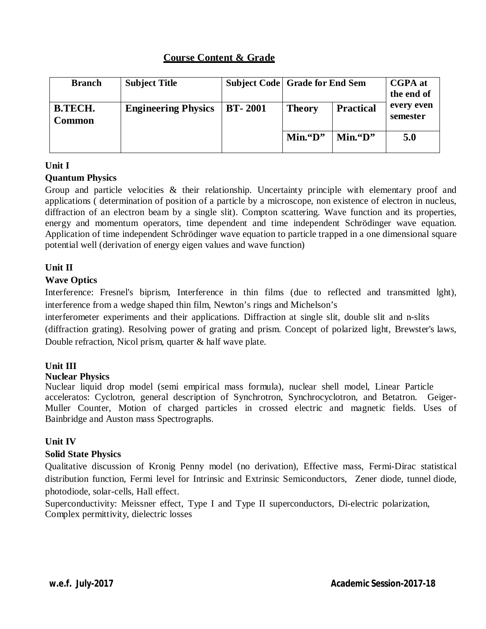| <b>Branch</b>            | <b>Subject Title</b>       |                |                          | <b>Subject Code Grade for End Sem</b> |                        |  |
|--------------------------|----------------------------|----------------|--------------------------|---------------------------------------|------------------------|--|
| <b>B.TECH.</b><br>Common | <b>Engineering Physics</b> | <b>BT-2001</b> | <b>Theory</b>            | <b>Practical</b>                      | every even<br>semester |  |
|                          |                            |                | $Min.$ "D"<br>$Min.$ "D" |                                       | 5.0                    |  |

# **Unit I**

# **Quantum Physics**

Group and particle velocities & their relationship. Uncertainty principle with elementary proof and applications ( determination of position of a particle by a microscope, non existence of electron in nucleus, diffraction of an electron beam by a single slit). Compton scattering. Wave function and its properties, energy and momentum operators, time dependent and time independent Schrödinger wave equation. Application of time independent Schrödinger wave equation to particle trapped in a one dimensional square potential well (derivation of energy eigen values and wave function)

# **Unit II**

## **Wave Optics**

Interference: Fresnel's biprism, Interference in thin films (due to reflected and transmitted lght), interference from a wedge shaped thin film, Newton's rings and Michelson's

interferometer experiments and their applications. Diffraction at single slit, double slit and n-slits (diffraction grating). Resolving power of grating and prism. Concept of polarized light, Brewster's laws, Double refraction, Nicol prism, quarter & half wave plate.

# **Unit III**

## **Nuclear Physics**

Nuclear liquid drop model (semi empirical mass formula), nuclear shell model, Linear Particle acceleratos: Cyclotron, general description of Synchrotron, Synchrocyclotron, and Betatron. Geiger-Muller Counter, Motion of charged particles in crossed electric and magnetic fields. Uses of Bainbridge and Auston mass Spectrographs.

## **Unit IV**

## **Solid State Physics**

Qualitative discussion of Kronig Penny model (no derivation), Effective mass, Fermi-Dirac statistical distribution function, Fermi level for Intrinsic and Extrinsic Semiconductors, Zener diode, tunnel diode, photodiode, solar-cells, Hall effect.

Superconductivity: Meissner effect, Type I and Type II superconductors, Di-electric polarization, Complex permittivity, dielectric losses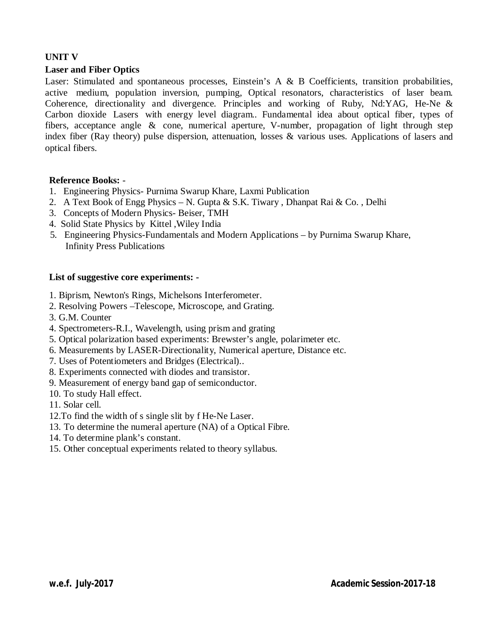# **UNIT V**

# **Laser and Fiber Optics**

Laser: Stimulated and spontaneous processes, Einstein's A & B Coefficients, transition probabilities, active medium, population inversion, pumping, Optical resonators, characteristics of laser beam. Coherence, directionality and divergence. Principles and working of Ruby, Nd:YAG, He-Ne & Carbon dioxide Lasers with energy level diagram.. Fundamental idea about optical fiber, types of fibers, acceptance angle & cone, numerical aperture, V-number, propagation of light through step index fiber (Ray theory) pulse dispersion, attenuation, losses & various uses. Applications of lasers and optical fibers.

#### **Reference Books:** -

- 1. Engineering Physics- Purnima Swarup Khare, Laxmi Publication
- 2. A Text Book of Engg Physics N. Gupta & S.K. Tiwary , Dhanpat Rai & Co. , Delhi
- 3. Concepts of Modern Physics- Beiser, TMH
- 4. Solid State Physics by Kittel ,Wiley India
- 5. Engineering Physics-Fundamentals and Modern Applications by Purnima Swarup Khare, Infinity Press Publications

#### **List of suggestive core experiments: -**

- 1. Biprism, Newton's Rings, Michelsons Interferometer.
- 2. Resolving Powers –Telescope, Microscope, and Grating.
- 3. G.M. Counter
- 4. Spectrometers-R.I., Wavelength, using prism and grating
- 5. Optical polarization based experiments: Brewster's angle, polarimeter etc.
- 6. Measurements by LASER-Directionality, Numerical aperture, Distance etc.
- 7. Uses of Potentiometers and Bridges (Electrical)..
- 8. Experiments connected with diodes and transistor.
- 9. Measurement of energy band gap of semiconductor.
- 10. To study Hall effect.
- 11. Solar cell.
- 12.To find the width of s single slit by f He-Ne Laser.
- 13. To determine the numeral aperture (NA) of a Optical Fibre.
- 14. To determine plank's constant.
- 15. Other conceptual experiments related to theory syllabus.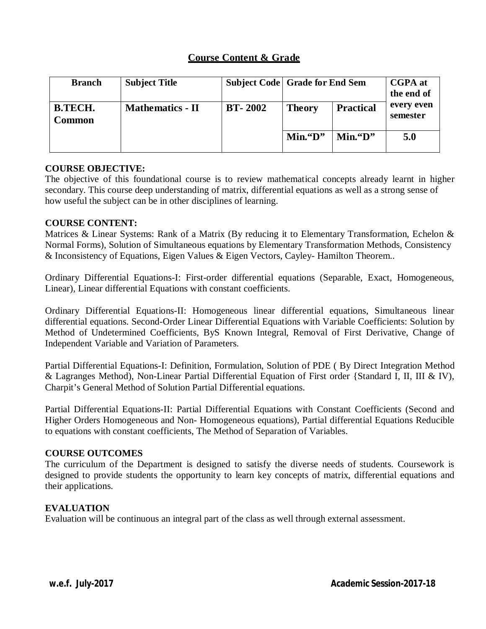| <b>Branch</b>            | <b>Subject Title</b>    |                |               | <b>CGPA</b> at<br><b>Subject Code Grade for End Sem</b><br>the end of |                        |
|--------------------------|-------------------------|----------------|---------------|-----------------------------------------------------------------------|------------------------|
| <b>B.TECH.</b><br>Common | <b>Mathematics - II</b> | <b>BT-2002</b> | <b>Theory</b> | <b>Practical</b>                                                      | every even<br>semester |
|                          |                         |                | $Min.$ "D"    | $Min.$ "D"                                                            | 5.0                    |

#### **COURSE OBJECTIVE:**

The objective of this foundational course is to review mathematical concepts already learnt in higher secondary. This course deep understanding of matrix, differential equations as well as a strong sense of how useful the subject can be in other disciplines of learning.

#### **COURSE CONTENT:**

Matrices & Linear Systems: Rank of a Matrix (By reducing it to Elementary Transformation, Echelon & Normal Forms), Solution of Simultaneous equations by Elementary Transformation Methods, Consistency & Inconsistency of Equations, Eigen Values & Eigen Vectors, Cayley- Hamilton Theorem..

Ordinary Differential Equations-I: First-order differential equations (Separable, Exact, Homogeneous, Linear), Linear differential Equations with constant coefficients.

Ordinary Differential Equations-II: Homogeneous linear differential equations, Simultaneous linear differential equations. Second-Order Linear Differential Equations with Variable Coefficients: Solution by Method of Undetermined Coefficients, ByS Known Integral, Removal of First Derivative, Change of Independent Variable and Variation of Parameters.

Partial Differential Equations-I: Definition, Formulation, Solution of PDE ( By Direct Integration Method & Lagranges Method), Non-Linear Partial Differential Equation of First order {Standard I, II, III & IV), Charpit's General Method of Solution Partial Differential equations.

Partial Differential Equations-II: Partial Differential Equations with Constant Coefficients (Second and Higher Orders Homogeneous and Non- Homogeneous equations), Partial differential Equations Reducible to equations with constant coefficients, The Method of Separation of Variables.

#### **COURSE OUTCOMES**

The curriculum of the Department is designed to satisfy the diverse needs of students. Coursework is designed to provide students the opportunity to learn key concepts of matrix, differential equations and their applications.

#### **EVALUATION**

Evaluation will be continuous an integral part of the class as well through external assessment.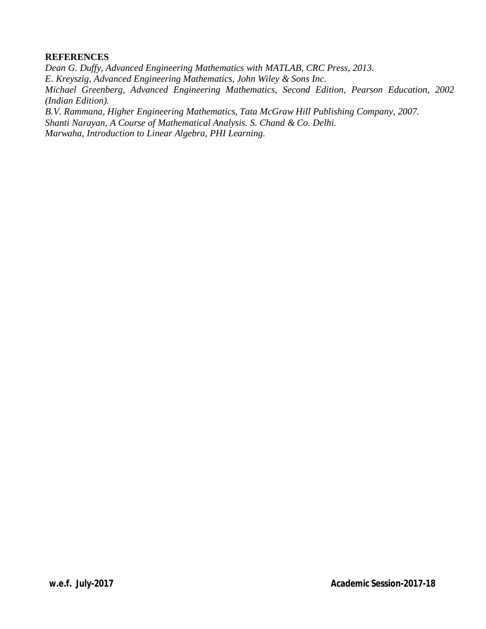#### **REFERENCES**

*Dean G. Duffy, Advanced Engineering Mathematics with MATLAB, CRC Press, 2013. E. Kreyszig, Advanced Engineering Mathematics, John Wiley & Sons Inc. Michael Greenberg, Advanced Engineering Mathematics, Second Edition, Pearson Education, 2002 (Indian Edition). B.V. Rammana, Higher Engineering Mathematics, Tata McGraw Hill Publishing Company, 2007. Shanti Narayan, A Course of Mathematical Analysis. S. Chand & Co. Delhi.*

*Marwaha, Introduction to Linear Algebra, PHI Learning.*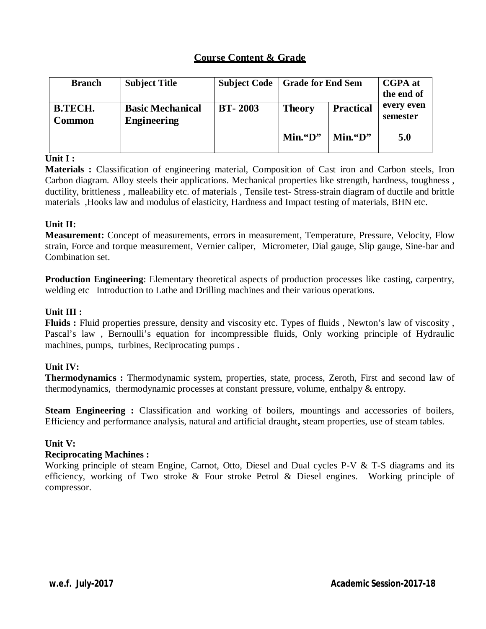| <b>Branch</b>     | <b>Subject Title</b>                          | <b>Subject Code</b> | Grade for End Sem |                  | <b>CGPA</b> at<br>the end of |
|-------------------|-----------------------------------------------|---------------------|-------------------|------------------|------------------------------|
| B.TECH.<br>Common | <b>Basic Mechanical</b><br><b>Engineering</b> | <b>BT-2003</b>      | <b>Theory</b>     | <b>Practical</b> | every even<br>semester       |
|                   |                                               |                     | $Min.$ "D"        | $Min.$ "D"       | 5.0                          |

#### **Unit I :**

**Materials :** Classification of engineering material, Composition of Cast iron and Carbon steels, Iron Carbon diagram. Alloy steels their applications. Mechanical properties like strength, hardness, toughness , ductility, brittleness , malleability etc. of materials , Tensile test- Stress-strain diagram of ductile and brittle materials ,Hooks law and modulus of elasticity, Hardness and Impact testing of materials, BHN etc.

## **Unit II:**

**Measurement:** Concept of measurements, errors in measurement, Temperature, Pressure, Velocity, Flow strain, Force and torque measurement, Vernier caliper, Micrometer, Dial gauge, Slip gauge, Sine-bar and Combination set.

**Production Engineering**: Elementary theoretical aspects of production processes like casting, carpentry, welding etc Introduction to Lathe and Drilling machines and their various operations.

## **Unit III :**

**Fluids :** Fluid properties pressure, density and viscosity etc. Types of fluids , Newton's law of viscosity , Pascal's law , Bernoulli's equation for incompressible fluids, Only working principle of Hydraulic machines, pumps, turbines, Reciprocating pumps .

# **Unit IV:**

**Thermodynamics :** Thermodynamic system, properties, state, process, Zeroth, First and second law of thermodynamics, thermodynamic processes at constant pressure, volume, enthalpy & entropy.

**Steam Engineering :** Classification and working of boilers, mountings and accessories of boilers, Efficiency and performance analysis, natural and artificial draught**,** steam properties, use of steam tables.

## **Unit V:**

#### **Reciprocating Machines :**

Working principle of steam Engine, Carnot, Otto, Diesel and Dual cycles P-V & T-S diagrams and its efficiency, working of Two stroke & Four stroke Petrol & Diesel engines. Working principle of compressor.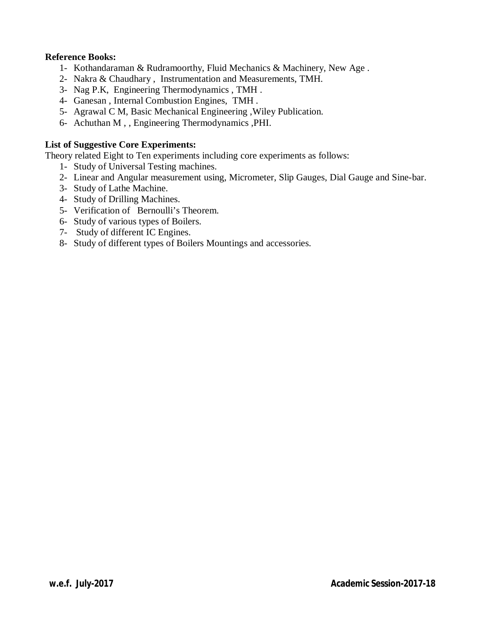#### **Reference Books:**

- 1- Kothandaraman & Rudramoorthy, Fluid Mechanics & Machinery, New Age .
- 2- Nakra & Chaudhary , Instrumentation and Measurements, TMH.
- 3- Nag P.K, Engineering Thermodynamics , TMH .
- 4- Ganesan , Internal Combustion Engines, TMH .
- 5- Agrawal C M, Basic Mechanical Engineering ,Wiley Publication.
- 6- Achuthan M , , Engineering Thermodynamics ,PHI.

#### **List of Suggestive Core Experiments:**

Theory related Eight to Ten experiments including core experiments as follows:

- 1- Study of Universal Testing machines.
- 2- Linear and Angular measurement using, Micrometer, Slip Gauges, Dial Gauge and Sine-bar.
- 3- Study of Lathe Machine.
- 4- Study of Drilling Machines.
- 5- Verification of Bernoulli's Theorem.
- 6- Study of various types of Boilers.
- 7- Study of different IC Engines.
- 8- Study of different types of Boilers Mountings and accessories.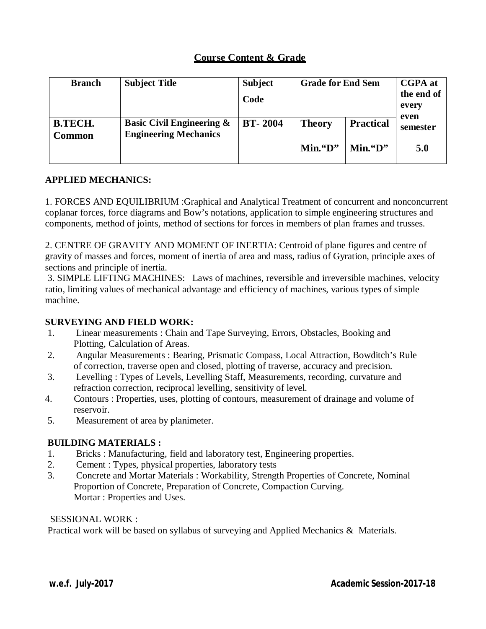| <b>Branch</b>            | <b>Subject Title</b>                                                 | <b>Subject</b><br>Code | <b>Grade for End Sem</b> |                  | <b>CGPA</b> at<br>the end of<br>every |
|--------------------------|----------------------------------------------------------------------|------------------------|--------------------------|------------------|---------------------------------------|
| <b>B.TECH.</b><br>Common | <b>Basic Civil Engineering &amp;</b><br><b>Engineering Mechanics</b> | <b>BT-2004</b>         | <b>Theory</b>            | <b>Practical</b> | even<br>semester                      |
|                          |                                                                      |                        | $Min.$ "D"               | $Min.$ "D"       | 5.0                                   |

## **APPLIED MECHANICS:**

1. FORCES AND EQUILIBRIUM :Graphical and Analytical Treatment of concurrent and nonconcurrent coplanar forces, force diagrams and Bow's notations, application to simple engineering structures and components, method of joints, method of sections for forces in members of plan frames and trusses.

2. CENTRE OF GRAVITY AND MOMENT OF INERTIA: Centroid of plane figures and centre of gravity of masses and forces, moment of inertia of area and mass, radius of Gyration, principle axes of sections and principle of inertia.

3. SIMPLE LIFTING MACHINES: Laws of machines, reversible and irreversible machines, velocity ratio, limiting values of mechanical advantage and efficiency of machines, various types of simple machine.

#### **SURVEYING AND FIELD WORK:**

- 1. Linear measurements : Chain and Tape Surveying, Errors, Obstacles, Booking and Plotting, Calculation of Areas.
- 2. Angular Measurements : Bearing, Prismatic Compass, Local Attraction, Bowditch's Rule of correction, traverse open and closed, plotting of traverse, accuracy and precision.
- 3. Levelling : Types of Levels, Levelling Staff, Measurements, recording, curvature and refraction correction, reciprocal levelling, sensitivity of level.
- 4. Contours : Properties, uses, plotting of contours, measurement of drainage and volume of reservoir.
- 5. Measurement of area by planimeter.

## **BUILDING MATERIALS :**

- 1. Bricks : Manufacturing, field and laboratory test, Engineering properties.
- 2. Cement : Types, physical properties, laboratory tests
- 3. Concrete and Mortar Materials : Workability, Strength Properties of Concrete, Nominal Proportion of Concrete, Preparation of Concrete, Compaction Curving. Mortar : Properties and Uses.

#### SESSIONAL WORK :

Practical work will be based on syllabus of surveying and Applied Mechanics & Materials.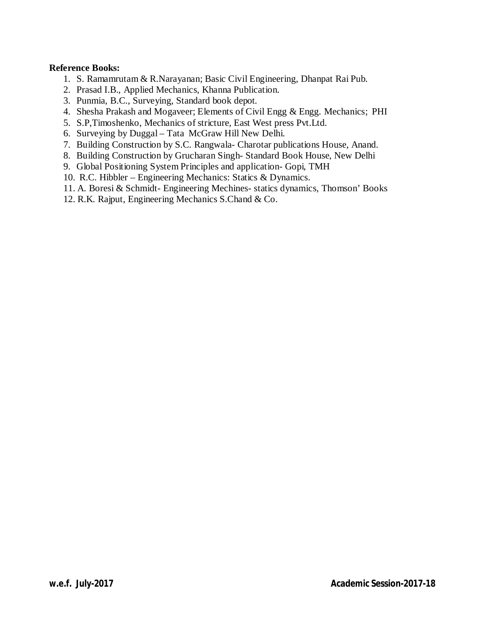#### **Reference Books:**

- 1. S. Ramamrutam & R.Narayanan; Basic Civil Engineering, Dhanpat Rai Pub.
- 2. Prasad I.B., Applied Mechanics, Khanna Publication.
- 3. Punmia, B.C., Surveying, Standard book depot.
- 4. Shesha Prakash and Mogaveer; Elements of Civil Engg & Engg. Mechanics; PHI
- 5. S.P,Timoshenko, Mechanics of stricture, East West press Pvt.Ltd.
- 6. Surveying by Duggal Tata McGraw Hill New Delhi.
- 7. Building Construction by S.C. Rangwala- Charotar publications House, Anand.
- 8. Building Construction by Grucharan Singh- Standard Book House, New Delhi
- 9. Global Positioning System Principles and application- Gopi, TMH
- 10. R.C. Hibbler Engineering Mechanics: Statics & Dynamics.
- 11. A. Boresi & Schmidt- Engineering Mechines- statics dynamics, Thomson' Books
- 12. R.K. Rajput, Engineering Mechanics S.Chand & Co.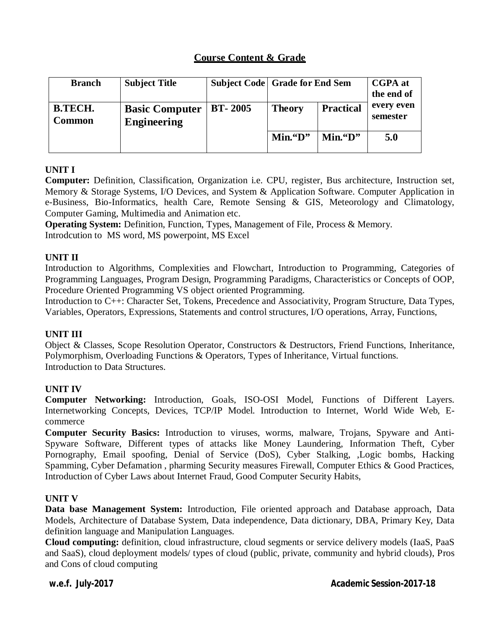| <b>Branch</b>            | <b>Subject Title</b>                 |                | <b>Subject Code Grade for End Sem</b> |                  | <b>CGPA</b> at<br>the end of |
|--------------------------|--------------------------------------|----------------|---------------------------------------|------------------|------------------------------|
| <b>B.TECH.</b><br>Common | <b>Basic Computer</b><br>Engineering | <b>BT-2005</b> | <b>Theory</b>                         | <b>Practical</b> | every even<br>semester       |
|                          |                                      |                | $Min.$ "D"                            | $Min.$ "D"       | 5.0                          |

# **UNIT I**

**Computer:** Definition, Classification, Organization i.e. CPU, register, Bus architecture, Instruction set, Memory & Storage Systems, I/O Devices, and System & Application Software. Computer Application in e-Business, Bio-Informatics, health Care, Remote Sensing & GIS, Meteorology and Climatology, Computer Gaming, Multimedia and Animation etc.

**Operating System:** Definition, Function, Types, Management of File, Process & Memory. Introdcution to MS word, MS powerpoint, MS Excel

## **UNIT II**

Introduction to Algorithms, Complexities and Flowchart, Introduction to Programming, Categories of Programming Languages, Program Design, Programming Paradigms, Characteristics or Concepts of OOP, Procedure Oriented Programming VS object oriented Programming.

Introduction to C++: Character Set, Tokens, Precedence and Associativity, Program Structure, Data Types, Variables, Operators, Expressions, Statements and control structures, I/O operations, Array, Functions,

## **UNIT III**

Object & Classes, Scope Resolution Operator, Constructors & Destructors, Friend Functions, Inheritance, Polymorphism, Overloading Functions & Operators, Types of Inheritance, Virtual functions. Introduction to Data Structures.

## **UNIT IV**

**Computer Networking:** Introduction, Goals, ISO-OSI Model, Functions of Different Layers. Internetworking Concepts, Devices, TCP/IP Model. Introduction to Internet, World Wide Web, Ecommerce

**Computer Security Basics:** Introduction to viruses, worms, malware, Trojans, Spyware and Anti-Spyware Software, Different types of attacks like Money Laundering, Information Theft, Cyber Pornography, Email spoofing, Denial of Service (DoS), Cyber Stalking, ,Logic bombs, Hacking Spamming, Cyber Defamation , pharming Security measures Firewall, Computer Ethics & Good Practices, Introduction of Cyber Laws about Internet Fraud, Good Computer Security Habits,

#### **UNIT V**

**Data base Management System:** Introduction, File oriented approach and Database approach, Data Models, Architecture of Database System, Data independence, Data dictionary, DBA, Primary Key, Data definition language and Manipulation Languages.

**Cloud computing:** definition, cloud infrastructure, cloud segments or service delivery models (IaaS, PaaS and SaaS), cloud deployment models/ types of cloud (public, private, community and hybrid clouds), Pros and Cons of cloud computing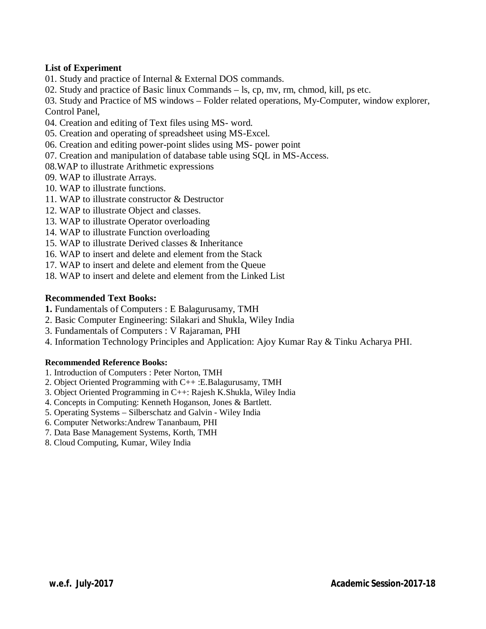#### **List of Experiment**

- 01. Study and practice of Internal & External DOS commands.
- 02. Study and practice of Basic linux Commands ls, cp, mv, rm, chmod, kill, ps etc.

03. Study and Practice of MS windows – Folder related operations, My-Computer, window explorer, Control Panel,

- 04. Creation and editing of Text files using MS- word.
- 05. Creation and operating of spreadsheet using MS-Excel.
- 06. Creation and editing power-point slides using MS- power point
- 07. Creation and manipulation of database table using SQL in MS-Access.
- 08.WAP to illustrate Arithmetic expressions
- 09. WAP to illustrate Arrays.
- 10. WAP to illustrate functions.
- 11. WAP to illustrate constructor & Destructor
- 12. WAP to illustrate Object and classes.
- 13. WAP to illustrate Operator overloading
- 14. WAP to illustrate Function overloading
- 15. WAP to illustrate Derived classes & Inheritance
- 16. WAP to insert and delete and element from the Stack
- 17. WAP to insert and delete and element from the Queue
- 18. WAP to insert and delete and element from the Linked List

#### **Recommended Text Books:**

- **1.** Fundamentals of Computers : E Balagurusamy, TMH
- 2. Basic Computer Engineering: Silakari and Shukla, Wiley India
- 3. Fundamentals of Computers : V Rajaraman, PHI
- 4. Information Technology Principles and Application: Ajoy Kumar Ray & Tinku Acharya PHI.

#### **Recommended Reference Books:**

- 1. Introduction of Computers : Peter Norton, TMH
- 2. Object Oriented Programming with C++ :E.Balagurusamy, TMH
- 3. Object Oriented Programming in C++: Rajesh K.Shukla, Wiley India
- 4. Concepts in Computing: Kenneth Hoganson, Jones & Bartlett.
- 5. Operating Systems Silberschatz and Galvin Wiley India
- 6. Computer Networks:Andrew Tananbaum, PHI
- 7. Data Base Management Systems, Korth, TMH
- 8. Cloud Computing, Kumar, Wiley India